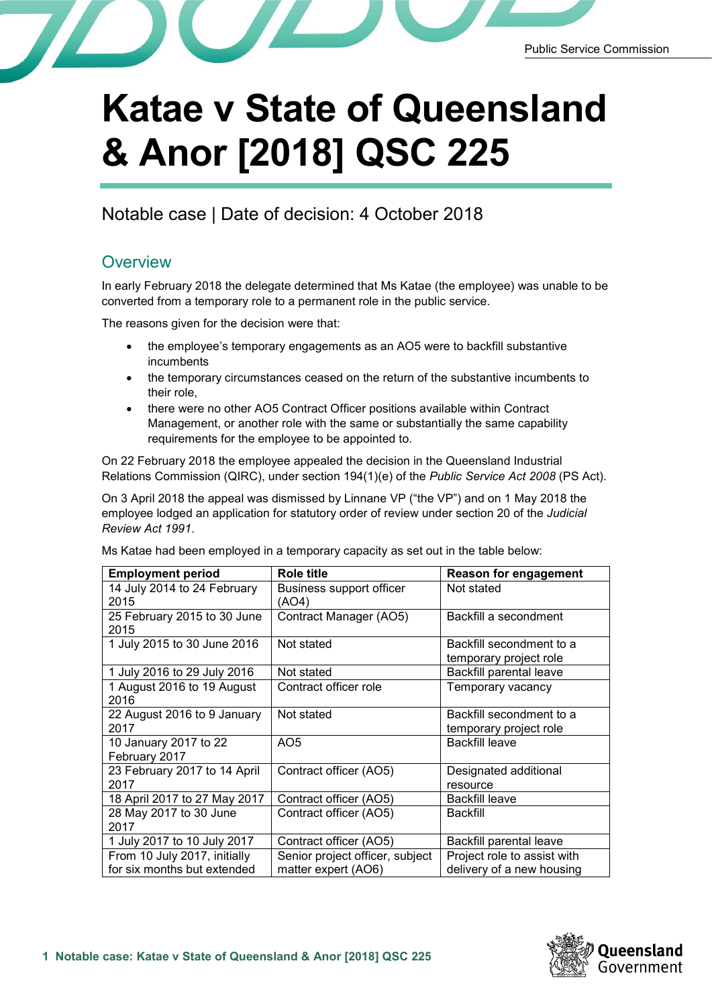

## **Katae v State of Queensland & Anor [2018] QSC 225**

Notable case | Date of decision: 4 October 2018

## **Overview**

In early February 2018 the delegate determined that Ms Katae (the employee) was unable to be converted from a temporary role to a permanent role in the public service.

The reasons given for the decision were that:

- the employee's temporary engagements as an AO5 were to backfill substantive incumbents
- the temporary circumstances ceased on the return of the substantive incumbents to their role,
- there were no other AO5 Contract Officer positions available within Contract Management, or another role with the same or substantially the same capability requirements for the employee to be appointed to.

On 22 February 2018 the employee appealed the decision in the Queensland Industrial Relations Commission (QIRC), under section 194(1)(e) of the *Public Service Act 2008* (PS Act).

On 3 April 2018 the appeal was dismissed by Linnane VP ("the VP") and on 1 May 2018 the employee lodged an application for statutory order of review under section 20 of the *Judicial Review Act 1991*.

Ms Katae had been employed in a temporary capacity as set out in the table below:

| <b>Employment period</b>     | Role title                      | <b>Reason for engagement</b> |
|------------------------------|---------------------------------|------------------------------|
| 14 July 2014 to 24 February  | Business support officer        | Not stated                   |
| 2015                         | (AO4)                           |                              |
| 25 February 2015 to 30 June  | Contract Manager (AO5)          | Backfill a secondment        |
| 2015                         |                                 |                              |
| 1 July 2015 to 30 June 2016  | Not stated                      | Backfill secondment to a     |
|                              |                                 | temporary project role       |
| 1 July 2016 to 29 July 2016  | Not stated                      | Backfill parental leave      |
| 1 August 2016 to 19 August   | Contract officer role           | Temporary vacancy            |
| 2016                         |                                 |                              |
| 22 August 2016 to 9 January  | Not stated                      | Backfill secondment to a     |
| 2017                         |                                 | temporary project role       |
| 10 January 2017 to 22        | AO <sub>5</sub>                 | <b>Backfill leave</b>        |
| February 2017                |                                 |                              |
| 23 February 2017 to 14 April | Contract officer (AO5)          | Designated additional        |
| 2017                         |                                 | resource                     |
| 18 April 2017 to 27 May 2017 | Contract officer (AO5)          | <b>Backfill leave</b>        |
| 28 May 2017 to 30 June       | Contract officer (AO5)          | <b>Backfill</b>              |
| 2017                         |                                 |                              |
| 1 July 2017 to 10 July 2017  | Contract officer (AO5)          | Backfill parental leave      |
| From 10 July 2017, initially | Senior project officer, subject | Project role to assist with  |
| for six months but extended  | matter expert (AO6)             | delivery of a new housing    |

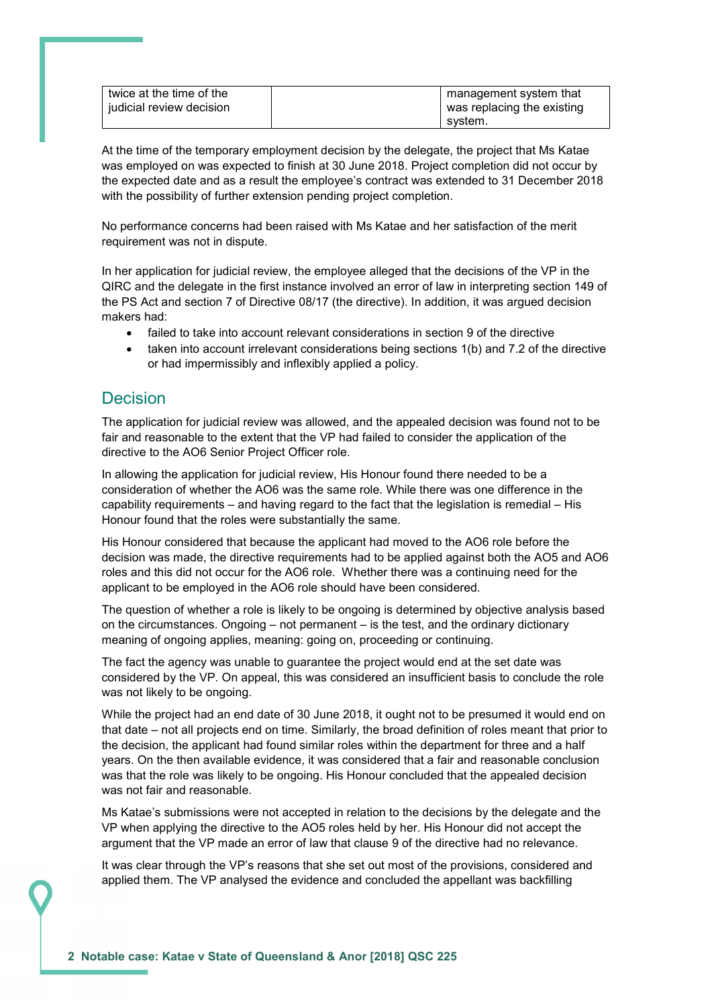| twice at the time of the   | management system that     |
|----------------------------|----------------------------|
| I iudicial review decision | was replacing the existing |
|                            | svstem.                    |

At the time of the temporary employment decision by the delegate, the project that Ms Katae was employed on was expected to finish at 30 June 2018. Project completion did not occur by the expected date and as a result the employee's contract was extended to 31 December 2018 with the possibility of further extension pending project completion.

No performance concerns had been raised with Ms Katae and her satisfaction of the merit requirement was not in dispute.

In her application for judicial review, the employee alleged that the decisions of the VP in the QIRC and the delegate in the first instance involved an error of law in interpreting section 149 of the PS Act and section 7 of Directive 08/17 (the directive). In addition, it was argued decision makers had:

- failed to take into account relevant considerations in section 9 of the directive
- taken into account irrelevant considerations being sections 1(b) and 7.2 of the directive or had impermissibly and inflexibly applied a policy.

## Decision

The application for judicial review was allowed, and the appealed decision was found not to be fair and reasonable to the extent that the VP had failed to consider the application of the directive to the AO6 Senior Project Officer role.

In allowing the application for judicial review, His Honour found there needed to be a consideration of whether the AO6 was the same role. While there was one difference in the capability requirements – and having regard to the fact that the legislation is remedial – His Honour found that the roles were substantially the same.

His Honour considered that because the applicant had moved to the AO6 role before the decision was made, the directive requirements had to be applied against both the AO5 and AO6 roles and this did not occur for the AO6 role. Whether there was a continuing need for the applicant to be employed in the AO6 role should have been considered.

The question of whether a role is likely to be ongoing is determined by objective analysis based on the circumstances. Ongoing – not permanent – is the test, and the ordinary dictionary meaning of ongoing applies, meaning: going on, proceeding or continuing.

The fact the agency was unable to guarantee the project would end at the set date was considered by the VP. On appeal, this was considered an insufficient basis to conclude the role was not likely to be ongoing.

While the project had an end date of 30 June 2018, it ought not to be presumed it would end on that date – not all projects end on time. Similarly, the broad definition of roles meant that prior to the decision, the applicant had found similar roles within the department for three and a half years. On the then available evidence, it was considered that a fair and reasonable conclusion was that the role was likely to be ongoing. His Honour concluded that the appealed decision was not fair and reasonable.

Ms Katae's submissions were not accepted in relation to the decisions by the delegate and the VP when applying the directive to the AO5 roles held by her. His Honour did not accept the argument that the VP made an error of law that clause 9 of the directive had no relevance.

It was clear through the VP's reasons that she set out most of the provisions, considered and applied them. The VP analysed the evidence and concluded the appellant was backfilling